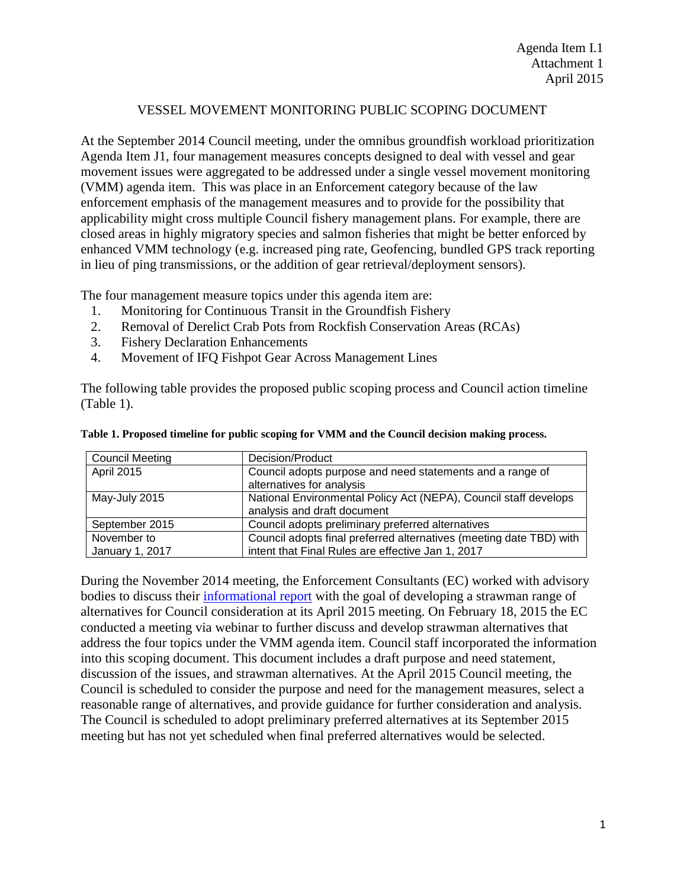#### VESSEL MOVEMENT MONITORING PUBLIC SCOPING DOCUMENT

At the September 2014 Council meeting, under the omnibus groundfish workload prioritization Agenda Item J1, four management measures concepts designed to deal with vessel and gear movement issues were aggregated to be addressed under a single vessel movement monitoring (VMM) agenda item. This was place in an Enforcement category because of the law enforcement emphasis of the management measures and to provide for the possibility that applicability might cross multiple Council fishery management plans. For example, there are closed areas in highly migratory species and salmon fisheries that might be better enforced by enhanced VMM technology (e.g. increased ping rate, Geofencing, bundled GPS track reporting in lieu of ping transmissions, or the addition of gear retrieval/deployment sensors).

The four management measure topics under this agenda item are:

- 1. Monitoring for Continuous Transit in the Groundfish Fishery
- 2. Removal of Derelict Crab Pots from Rockfish Conservation Areas (RCAs)
- 3. Fishery Declaration Enhancements
- 4. Movement of IFQ Fishpot Gear Across Management Lines

The following table provides the proposed public scoping process and Council action timeline [\(Table 1\)](#page-0-0).

| <b>Council Meeting</b> | Decision/Product                                                    |
|------------------------|---------------------------------------------------------------------|
| <b>April 2015</b>      | Council adopts purpose and need statements and a range of           |
|                        | alternatives for analysis                                           |
| May-July 2015          | National Environmental Policy Act (NEPA), Council staff develops    |
|                        | analysis and draft document                                         |
| September 2015         | Council adopts preliminary preferred alternatives                   |
| November to            | Council adopts final preferred alternatives (meeting date TBD) with |
| January 1, 2017        | intent that Final Rules are effective Jan 1, 2017                   |

<span id="page-0-0"></span>

|  |  |  | Table 1. Proposed timeline for public scoping for VMM and the Council decision making process. |
|--|--|--|------------------------------------------------------------------------------------------------|
|  |  |  |                                                                                                |

During the November 2014 meeting, the Enforcement Consultants (EC) worked with advisory bodies to discuss their [informational report](http://www.pcouncil.org/wp-content/uploads/IR1_VesselMovementMonitoring_NOV2014BB.pdf) with the goal of developing a strawman range of alternatives for Council consideration at its April 2015 meeting. On February 18, 2015 the EC conducted a meeting via webinar to further discuss and develop strawman alternatives that address the four topics under the VMM agenda item. Council staff incorporated the information into this scoping document. This document includes a draft purpose and need statement, discussion of the issues, and strawman alternatives. At the April 2015 Council meeting, the Council is scheduled to consider the purpose and need for the management measures, select a reasonable range of alternatives, and provide guidance for further consideration and analysis. The Council is scheduled to adopt preliminary preferred alternatives at its September 2015 meeting but has not yet scheduled when final preferred alternatives would be selected.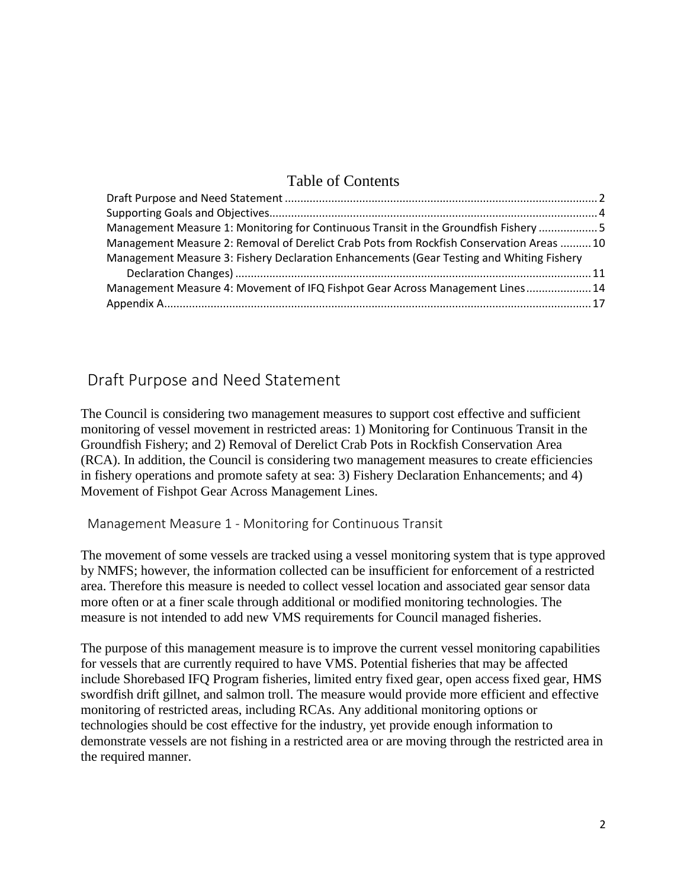# Table of Contents

| Management Measure 1: Monitoring for Continuous Transit in the Groundfish Fishery  5     |
|------------------------------------------------------------------------------------------|
| Management Measure 2: Removal of Derelict Crab Pots from Rockfish Conservation Areas  10 |
|                                                                                          |
|                                                                                          |
| Management Measure 4: Movement of IFQ Fishpot Gear Across Management Lines 14            |
|                                                                                          |
|                                                                                          |

# <span id="page-1-0"></span>Draft Purpose and Need Statement

The Council is considering two management measures to support cost effective and sufficient monitoring of vessel movement in restricted areas: 1) Monitoring for Continuous Transit in the Groundfish Fishery; and 2) Removal of Derelict Crab Pots in Rockfish Conservation Area (RCA). In addition, the Council is considering two management measures to create efficiencies in fishery operations and promote safety at sea: 3) Fishery Declaration Enhancements; and 4) Movement of Fishpot Gear Across Management Lines.

Management Measure 1 - Monitoring for Continuous Transit

The movement of some vessels are tracked using a vessel monitoring system that is type approved by NMFS; however, the information collected can be insufficient for enforcement of a restricted area. Therefore this measure is needed to collect vessel location and associated gear sensor data more often or at a finer scale through additional or modified monitoring technologies. The measure is not intended to add new VMS requirements for Council managed fisheries.

The purpose of this management measure is to improve the current vessel monitoring capabilities for vessels that are currently required to have VMS. Potential fisheries that may be affected include Shorebased IFQ Program fisheries, limited entry fixed gear, open access fixed gear, HMS swordfish drift gillnet, and salmon troll. The measure would provide more efficient and effective monitoring of restricted areas, including RCAs. Any additional monitoring options or technologies should be cost effective for the industry, yet provide enough information to demonstrate vessels are not fishing in a restricted area or are moving through the restricted area in the required manner.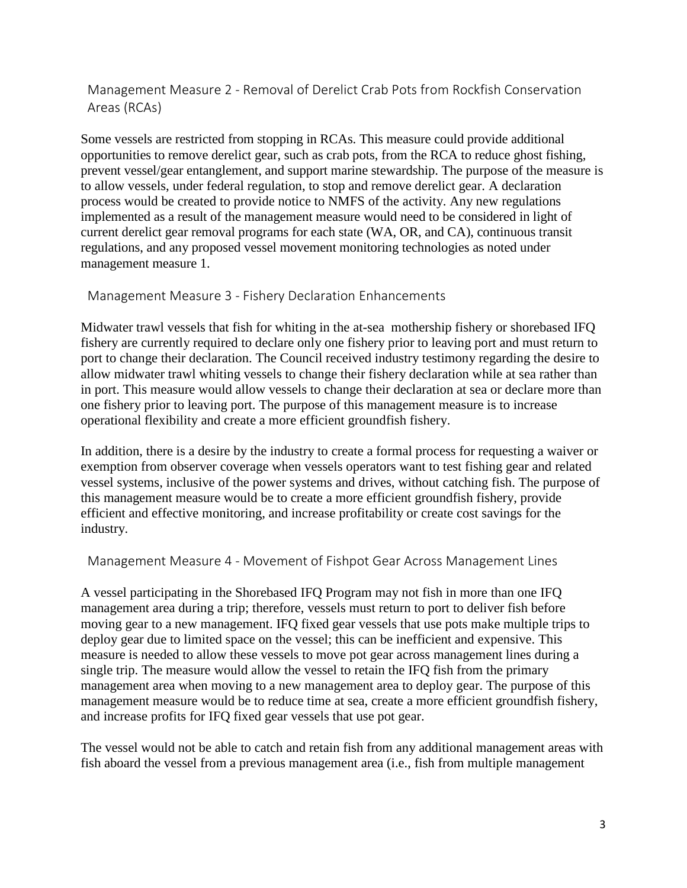Management Measure 2 - Removal of Derelict Crab Pots from Rockfish Conservation Areas (RCAs)

Some vessels are restricted from stopping in RCAs. This measure could provide additional opportunities to remove derelict gear, such as crab pots, from the RCA to reduce ghost fishing, prevent vessel/gear entanglement, and support marine stewardship. The purpose of the measure is to allow vessels, under federal regulation, to stop and remove derelict gear. A declaration process would be created to provide notice to NMFS of the activity. Any new regulations implemented as a result of the management measure would need to be considered in light of current derelict gear removal programs for each state (WA, OR, and CA), continuous transit regulations, and any proposed vessel movement monitoring technologies as noted under management measure 1.

Management Measure 3 - Fishery Declaration Enhancements

Midwater trawl vessels that fish for whiting in the at-sea mothership fishery or shorebased IFQ fishery are currently required to declare only one fishery prior to leaving port and must return to port to change their declaration. The Council received industry testimony regarding the desire to allow midwater trawl whiting vessels to change their fishery declaration while at sea rather than in port. This measure would allow vessels to change their declaration at sea or declare more than one fishery prior to leaving port. The purpose of this management measure is to increase operational flexibility and create a more efficient groundfish fishery.

In addition, there is a desire by the industry to create a formal process for requesting a waiver or exemption from observer coverage when vessels operators want to test fishing gear and related vessel systems, inclusive of the power systems and drives, without catching fish. The purpose of this management measure would be to create a more efficient groundfish fishery, provide efficient and effective monitoring, and increase profitability or create cost savings for the industry.

Management Measure 4 - Movement of Fishpot Gear Across Management Lines

A vessel participating in the Shorebased IFQ Program may not fish in more than one IFQ management area during a trip; therefore, vessels must return to port to deliver fish before moving gear to a new management. IFQ fixed gear vessels that use pots make multiple trips to deploy gear due to limited space on the vessel; this can be inefficient and expensive. This measure is needed to allow these vessels to move pot gear across management lines during a single trip. The measure would allow the vessel to retain the IFQ fish from the primary management area when moving to a new management area to deploy gear. The purpose of this management measure would be to reduce time at sea, create a more efficient groundfish fishery, and increase profits for IFQ fixed gear vessels that use pot gear.

The vessel would not be able to catch and retain fish from any additional management areas with fish aboard the vessel from a previous management area (i.e., fish from multiple management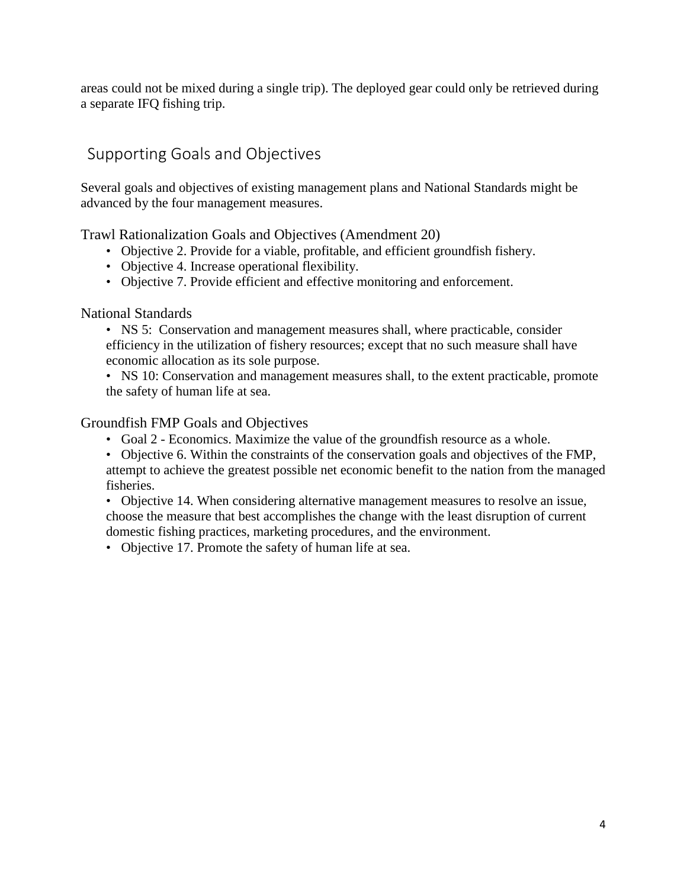areas could not be mixed during a single trip). The deployed gear could only be retrieved during a separate IFQ fishing trip.

# <span id="page-3-0"></span>Supporting Goals and Objectives

Several goals and objectives of existing management plans and National Standards might be advanced by the four management measures.

Trawl Rationalization Goals and Objectives (Amendment 20)

- Objective 2. Provide for a viable, profitable, and efficient groundfish fishery.
- Objective 4. Increase operational flexibility.
- Objective 7. Provide efficient and effective monitoring and enforcement.

# National Standards

- NS 5: Conservation and management measures shall, where practicable, consider efficiency in the utilization of fishery resources; except that no such measure shall have economic allocation as its sole purpose.
- NS 10: Conservation and management measures shall, to the extent practicable, promote the safety of human life at sea.

# Groundfish FMP Goals and Objectives

- Goal 2 Economics. Maximize the value of the groundfish resource as a whole.
- Objective 6. Within the constraints of the conservation goals and objectives of the FMP, attempt to achieve the greatest possible net economic benefit to the nation from the managed fisheries.

• Objective 14. When considering alternative management measures to resolve an issue, choose the measure that best accomplishes the change with the least disruption of current domestic fishing practices, marketing procedures, and the environment.

• Objective 17. Promote the safety of human life at sea.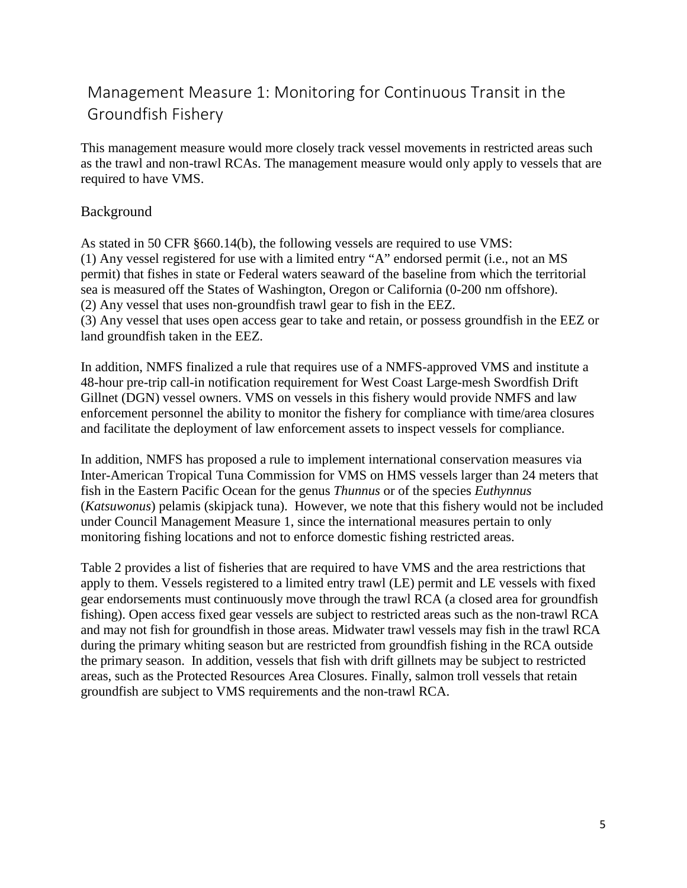# <span id="page-4-0"></span>Management Measure 1: Monitoring for Continuous Transit in the Groundfish Fishery

This management measure would more closely track vessel movements in restricted areas such as the trawl and non-trawl RCAs. The management measure would only apply to vessels that are required to have VMS.

### Background

As stated in 50 CFR §660.14(b), the following vessels are required to use VMS: (1) Any vessel registered for use with a limited entry "A" endorsed permit (i.e., not an MS permit) that fishes in state or Federal waters seaward of the baseline from which the territorial sea is measured off the States of Washington, Oregon or California (0-200 nm offshore). (2) Any vessel that uses non-groundfish trawl gear to fish in the EEZ. (3) Any vessel that uses open access gear to take and retain, or possess groundfish in the EEZ or land groundfish taken in the EEZ.

In addition, NMFS finalized a rule that requires use of a NMFS-approved VMS and institute a 48-hour pre-trip call-in notification requirement for West Coast Large-mesh Swordfish Drift Gillnet (DGN) vessel owners. VMS on vessels in this fishery would provide NMFS and law enforcement personnel the ability to monitor the fishery for compliance with time/area closures and facilitate the deployment of law enforcement assets to inspect vessels for compliance.

In addition, NMFS has proposed a rule to implement international conservation measures via Inter-American Tropical Tuna Commission for VMS on HMS vessels larger than 24 meters that fish in the Eastern Pacific Ocean for the genus *Thunnus* or of the species *Euthynnus* (*Katsuwonus*) pelamis (skipjack tuna). However, we note that this fishery would not be included under Council Management Measure 1, since the international measures pertain to only monitoring fishing locations and not to enforce domestic fishing restricted areas.

[Table 2](#page-5-0) provides a list of fisheries that are required to have VMS and the area restrictions that apply to them. Vessels registered to a limited entry trawl (LE) permit and LE vessels with fixed gear endorsements must continuously move through the trawl RCA (a closed area for groundfish fishing). Open access fixed gear vessels are subject to restricted areas such as the non-trawl RCA and may not fish for groundfish in those areas. Midwater trawl vessels may fish in the trawl RCA during the primary whiting season but are restricted from groundfish fishing in the RCA outside the primary season. In addition, vessels that fish with drift gillnets may be subject to restricted areas, such as the Protected Resources Area Closures. Finally, salmon troll vessels that retain groundfish are subject to VMS requirements and the non-trawl RCA.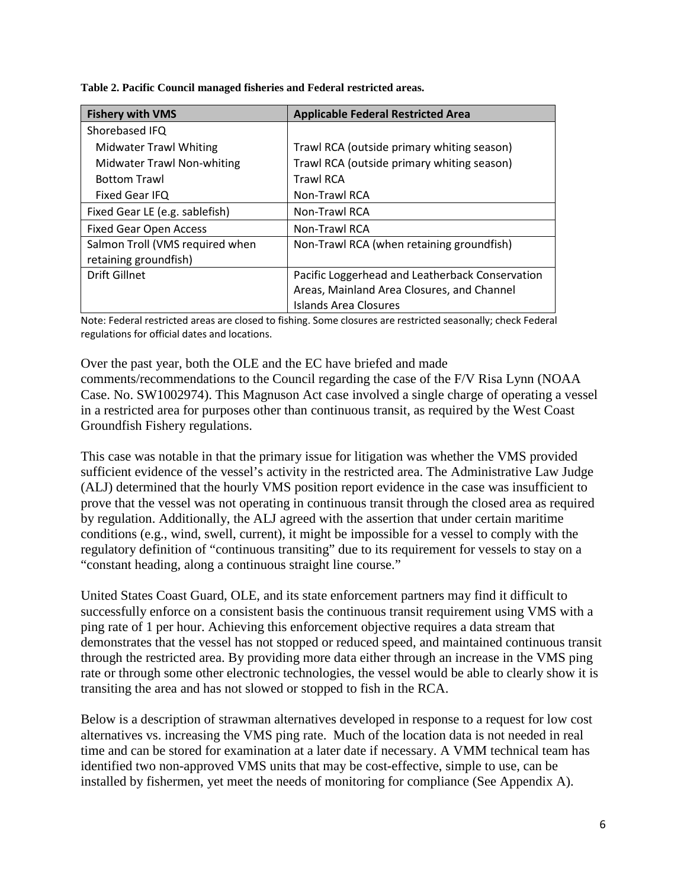<span id="page-5-0"></span>**Table 2. Pacific Council managed fisheries and Federal restricted areas.**

| <b>Fishery with VMS</b>         | <b>Applicable Federal Restricted Area</b>       |
|---------------------------------|-------------------------------------------------|
| Shorebased IFQ                  |                                                 |
| Midwater Trawl Whiting          | Trawl RCA (outside primary whiting season)      |
| Midwater Trawl Non-whiting      | Trawl RCA (outside primary whiting season)      |
| <b>Bottom Trawl</b>             | <b>Trawl RCA</b>                                |
| <b>Fixed Gear IFQ</b>           | Non-Trawl RCA                                   |
| Fixed Gear LE (e.g. sablefish)  | Non-Trawl RCA                                   |
| <b>Fixed Gear Open Access</b>   | Non-Trawl RCA                                   |
| Salmon Troll (VMS required when | Non-Trawl RCA (when retaining groundfish)       |
| retaining groundfish)           |                                                 |
| Drift Gillnet                   | Pacific Loggerhead and Leatherback Conservation |
|                                 | Areas, Mainland Area Closures, and Channel      |
|                                 | Islands Area Closures                           |

Note: Federal restricted areas are closed to fishing. Some closures are restricted seasonally; check Federal regulations for official dates and locations.

Over the past year, both the OLE and the EC have briefed and made comments/recommendations to the Council regarding the case of the F/V Risa Lynn (NOAA Case. No. SW1002974). This Magnuson Act case involved a single charge of operating a vessel in a restricted area for purposes other than continuous transit, as required by the West Coast Groundfish Fishery regulations.

This case was notable in that the primary issue for litigation was whether the VMS provided sufficient evidence of the vessel's activity in the restricted area. The Administrative Law Judge (ALJ) determined that the hourly VMS position report evidence in the case was insufficient to prove that the vessel was not operating in continuous transit through the closed area as required by regulation. Additionally, the ALJ agreed with the assertion that under certain maritime conditions (e.g., wind, swell, current), it might be impossible for a vessel to comply with the regulatory definition of "continuous transiting" due to its requirement for vessels to stay on a "constant heading, along a continuous straight line course."

United States Coast Guard, OLE, and its state enforcement partners may find it difficult to successfully enforce on a consistent basis the continuous transit requirement using VMS with a ping rate of 1 per hour. Achieving this enforcement objective requires a data stream that demonstrates that the vessel has not stopped or reduced speed, and maintained continuous transit through the restricted area. By providing more data either through an increase in the VMS ping rate or through some other electronic technologies, the vessel would be able to clearly show it is transiting the area and has not slowed or stopped to fish in the RCA.

Below is a description of strawman alternatives developed in response to a request for low cost alternatives vs. increasing the VMS ping rate. Much of the location data is not needed in real time and can be stored for examination at a later date if necessary. A VMM technical team has identified two non-approved VMS units that may be cost-effective, simple to use, can be installed by fishermen, yet meet the needs of monitoring for compliance (See Appendix A).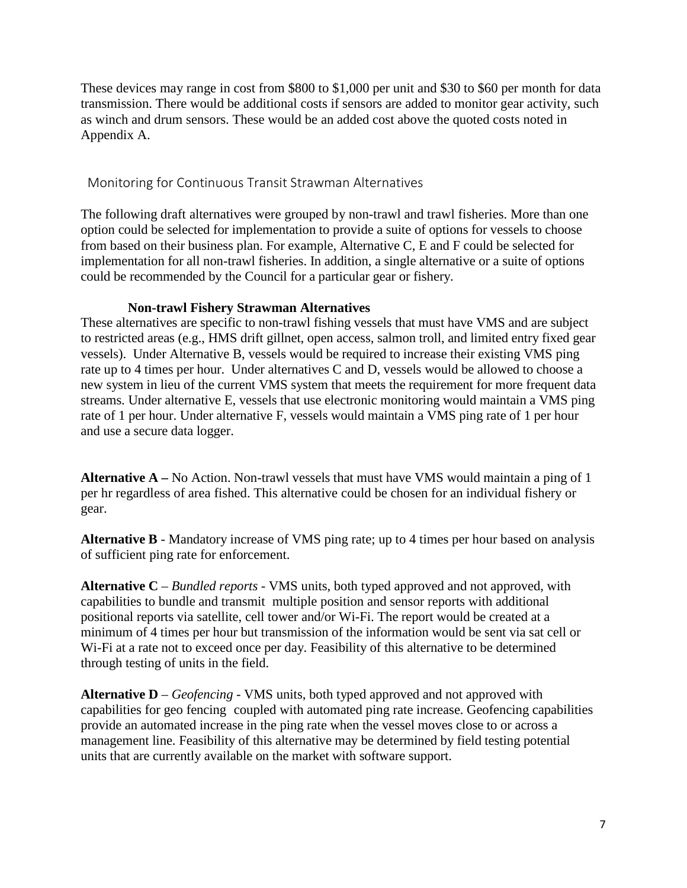These devices may range in cost from \$800 to \$1,000 per unit and \$30 to \$60 per month for data transmission. There would be additional costs if sensors are added to monitor gear activity, such as winch and drum sensors. These would be an added cost above the quoted costs noted in Appendix A.

#### Monitoring for Continuous Transit Strawman Alternatives

The following draft alternatives were grouped by non-trawl and trawl fisheries. More than one option could be selected for implementation to provide a suite of options for vessels to choose from based on their business plan. For example, Alternative C, E and F could be selected for implementation for all non-trawl fisheries. In addition, a single alternative or a suite of options could be recommended by the Council for a particular gear or fishery.

#### **Non-trawl Fishery Strawman Alternatives**

These alternatives are specific to non-trawl fishing vessels that must have VMS and are subject to restricted areas (e.g., HMS drift gillnet, open access, salmon troll, and limited entry fixed gear vessels). Under Alternative B, vessels would be required to increase their existing VMS ping rate up to 4 times per hour. Under alternatives C and D, vessels would be allowed to choose a new system in lieu of the current VMS system that meets the requirement for more frequent data streams. Under alternative E, vessels that use electronic monitoring would maintain a VMS ping rate of 1 per hour. Under alternative F, vessels would maintain a VMS ping rate of 1 per hour and use a secure data logger.

**Alternative A –** No Action. Non-trawl vessels that must have VMS would maintain a ping of 1 per hr regardless of area fished. This alternative could be chosen for an individual fishery or gear.

**Alternative B** - Mandatory increase of VMS ping rate; up to 4 times per hour based on analysis of sufficient ping rate for enforcement.

**Alternative C** *– Bundled reports* - VMS units, both typed approved and not approved, with capabilities to bundle and transmit multiple position and sensor reports with additional positional reports via satellite, cell tower and/or Wi-Fi. The report would be created at a minimum of 4 times per hour but transmission of the information would be sent via sat cell or Wi-Fi at a rate not to exceed once per day. Feasibility of this alternative to be determined through testing of units in the field.

**Alternative D** *– Geofencing -* VMS units, both typed approved and not approved with capabilities for geo fencing coupled with automated ping rate increase. Geofencing capabilities provide an automated increase in the ping rate when the vessel moves close to or across a management line. Feasibility of this alternative may be determined by field testing potential units that are currently available on the market with software support.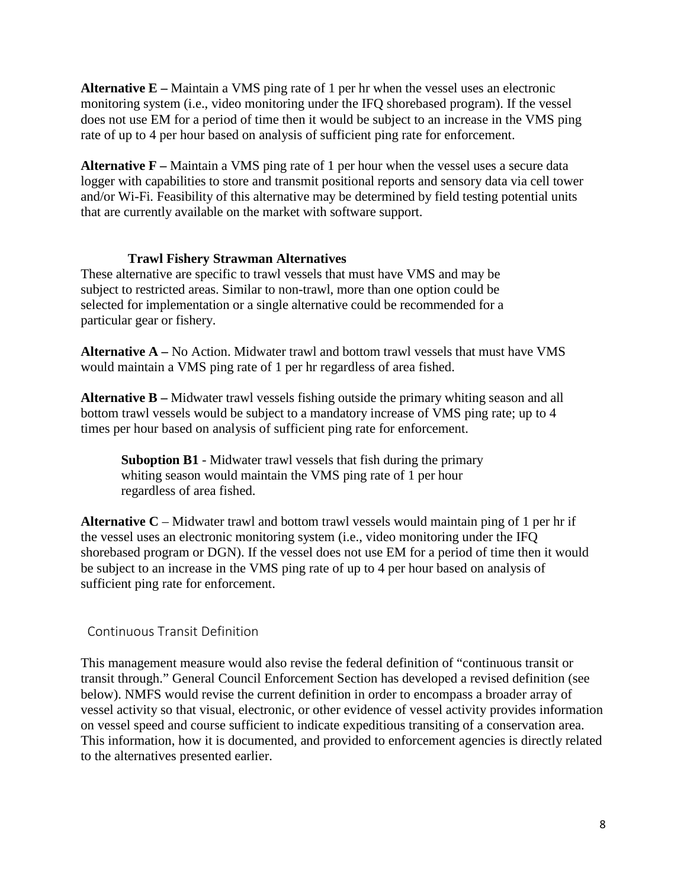**Alternative E –** Maintain a VMS ping rate of 1 per hr when the vessel uses an electronic monitoring system (i.e., video monitoring under the IFQ shorebased program). If the vessel does not use EM for a period of time then it would be subject to an increase in the VMS ping rate of up to 4 per hour based on analysis of sufficient ping rate for enforcement.

**Alternative F –** Maintain a VMS ping rate of 1 per hour when the vessel uses a secure data logger with capabilities to store and transmit positional reports and sensory data via cell tower and/or Wi-Fi. Feasibility of this alternative may be determined by field testing potential units that are currently available on the market with software support.

#### **Trawl Fishery Strawman Alternatives**

These alternative are specific to trawl vessels that must have VMS and may be subject to restricted areas. Similar to non-trawl, more than one option could be selected for implementation or a single alternative could be recommended for a particular gear or fishery.

**Alternative A –** No Action. Midwater trawl and bottom trawl vessels that must have VMS would maintain a VMS ping rate of 1 per hr regardless of area fished.

**Alternative B** – Midwater trawl vessels fishing outside the primary whiting season and all bottom trawl vessels would be subject to a mandatory increase of VMS ping rate; up to 4 times per hour based on analysis of sufficient ping rate for enforcement.

**Suboption B1** - Midwater trawl vessels that fish during the primary whiting season would maintain the VMS ping rate of 1 per hour regardless of area fished.

**Alternative C** – Midwater trawl and bottom trawl vessels would maintain ping of 1 per hr if the vessel uses an electronic monitoring system (i.e., video monitoring under the IFQ shorebased program or DGN). If the vessel does not use EM for a period of time then it would be subject to an increase in the VMS ping rate of up to 4 per hour based on analysis of sufficient ping rate for enforcement.

#### Continuous Transit Definition

This management measure would also revise the federal definition of "continuous transit or transit through." General Council Enforcement Section has developed a revised definition (see below). NMFS would revise the current definition in order to encompass a broader array of vessel activity so that visual, electronic, or other evidence of vessel activity provides information on vessel speed and course sufficient to indicate expeditious transiting of a conservation area. This information, how it is documented, and provided to enforcement agencies is directly related to the alternatives presented earlier.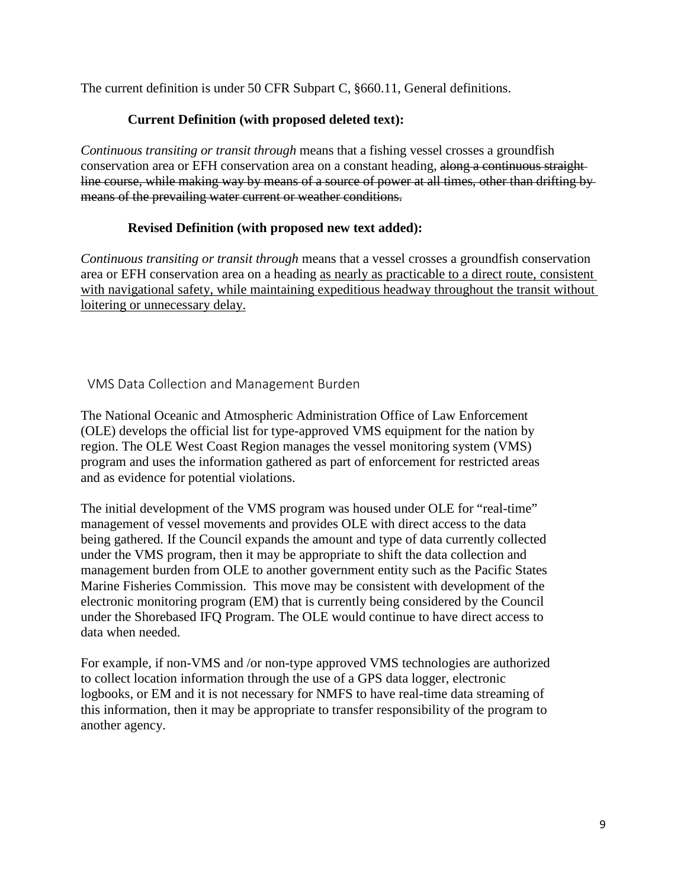The current definition is under 50 CFR Subpart C, §660.11, General definitions.

#### **Current Definition (with proposed deleted text):**

*Continuous transiting or transit through* means that a fishing vessel crosses a groundfish conservation area or EFH conservation area on a constant heading, along a continuous straightline course, while making way by means of a source of power at all times, other than drifting by means of the prevailing water current or weather conditions.

#### **Revised Definition (with proposed new text added):**

*Continuous transiting or transit through* means that a vessel crosses a groundfish conservation area or EFH conservation area on a heading as nearly as practicable to a direct route, consistent with navigational safety, while maintaining expeditious headway throughout the transit without loitering or unnecessary delay.

VMS Data Collection and Management Burden

The National Oceanic and Atmospheric Administration Office of Law Enforcement (OLE) develops the official list for type-approved VMS equipment for the nation by region. The OLE West Coast Region manages the vessel monitoring system (VMS) program and uses the information gathered as part of enforcement for restricted areas and as evidence for potential violations.

The initial development of the VMS program was housed under OLE for "real-time" management of vessel movements and provides OLE with direct access to the data being gathered. If the Council expands the amount and type of data currently collected under the VMS program, then it may be appropriate to shift the data collection and management burden from OLE to another government entity such as the Pacific States Marine Fisheries Commission. This move may be consistent with development of the electronic monitoring program (EM) that is currently being considered by the Council under the Shorebased IFQ Program. The OLE would continue to have direct access to data when needed.

For example, if non-VMS and /or non-type approved VMS technologies are authorized to collect location information through the use of a GPS data logger, electronic logbooks, or EM and it is not necessary for NMFS to have real-time data streaming of this information, then it may be appropriate to transfer responsibility of the program to another agency.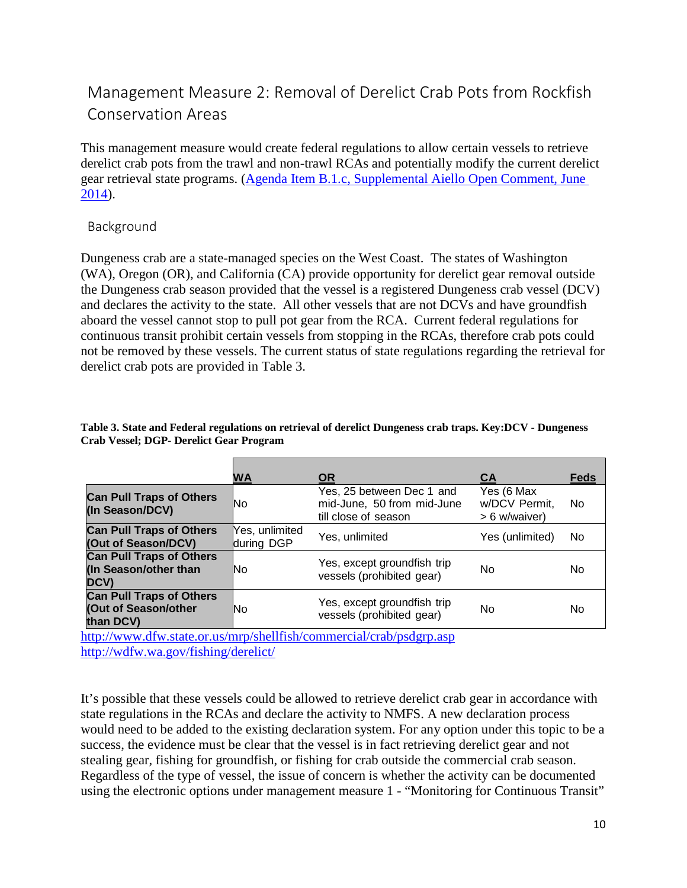# <span id="page-9-0"></span>Management Measure 2: Removal of Derelict Crab Pots from Rockfish Conservation Areas

This management measure would create federal regulations to allow certain vessels to retrieve derelict crab pots from the trawl and non-trawl RCAs and potentially modify the current derelict gear retrieval state programs. [\(Agenda Item B.1.c, Supplemental Aiello Open Comment, June](http://www.pcouncil.org/wp-content/uploads/B1c_SUP_Aiello_OpenCom_JUNE2014BB.pdf)  [2014\)](http://www.pcouncil.org/wp-content/uploads/B1c_SUP_Aiello_OpenCom_JUNE2014BB.pdf).

#### Background

Dungeness crab are a state-managed species on the West Coast. The states of Washington (WA), Oregon (OR), and California (CA) provide opportunity for derelict gear removal outside the Dungeness crab season provided that the vessel is a registered Dungeness crab vessel (DCV) and declares the activity to the state. All other vessels that are not DCVs and have groundfish aboard the vessel cannot stop to pull pot gear from the RCA. Current federal regulations for continuous transit prohibit certain vessels from stopping in the RCAs, therefore crab pots could not be removed by these vessels. The current status of state regulations regarding the retrieval for derelict crab pots are provided in [Table 3.](#page-9-1)

<span id="page-9-1"></span>

| Table 3. State and Federal regulations on retrieval of derelict Dungeness crab traps. Key:DCV - Dungeness |  |
|-----------------------------------------------------------------------------------------------------------|--|
| <b>Crab Vessel; DGP- Derelict Gear Program</b>                                                            |  |

|                                                                         | WA                           | <b>OR</b>                                                                       | <b>CA</b>                                    | <b>Feds</b> |
|-------------------------------------------------------------------------|------------------------------|---------------------------------------------------------------------------------|----------------------------------------------|-------------|
| <b>Can Pull Traps of Others</b><br>(In Season/DCV)                      | No                           | Yes, 25 between Dec 1 and<br>mid-June, 50 from mid-June<br>till close of season | Yes (6 Max<br>w/DCV Permit,<br>> 6 w/waiver) | No.         |
| <b>Can Pull Traps of Others</b><br>(Out of Season/DCV)                  | Yes, unlimited<br>during DGP | Yes, unlimited                                                                  | Yes (unlimited)                              | No          |
| <b>Can Pull Traps of Others</b><br>(In Season/other than<br><b>DCV)</b> | No                           | Yes, except groundfish trip<br>vessels (prohibited gear)                        | No                                           | No          |
| <b>Can Pull Traps of Others</b><br>(Out of Season/other<br>than DCV)    | Νo                           | Yes, except groundfish trip<br>vessels (prohibited gear)                        | No                                           | No          |

<http://www.dfw.state.or.us/mrp/shellfish/commercial/crab/psdgrp.asp> <http://wdfw.wa.gov/fishing/derelict/>

It's possible that these vessels could be allowed to retrieve derelict crab gear in accordance with state regulations in the RCAs and declare the activity to NMFS. A new declaration process would need to be added to the existing declaration system. For any option under this topic to be a success, the evidence must be clear that the vessel is in fact retrieving derelict gear and not stealing gear, fishing for groundfish, or fishing for crab outside the commercial crab season. Regardless of the type of vessel, the issue of concern is whether the activity can be documented using the electronic options under management measure 1 - "Monitoring for Continuous Transit"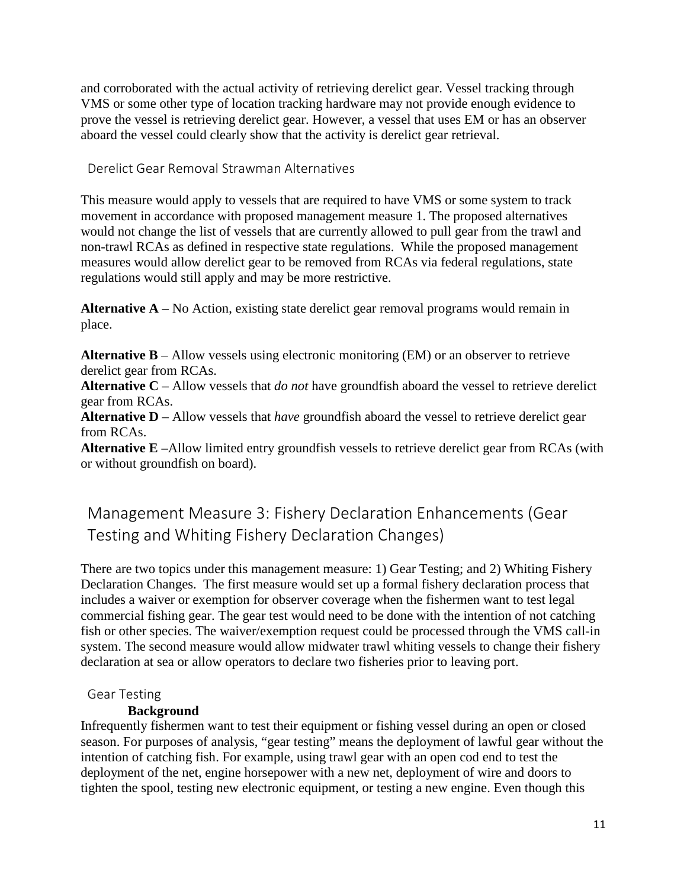and corroborated with the actual activity of retrieving derelict gear. Vessel tracking through VMS or some other type of location tracking hardware may not provide enough evidence to prove the vessel is retrieving derelict gear. However, a vessel that uses EM or has an observer aboard the vessel could clearly show that the activity is derelict gear retrieval.

Derelict Gear Removal Strawman Alternatives

This measure would apply to vessels that are required to have VMS or some system to track movement in accordance with proposed management measure 1. The proposed alternatives would not change the list of vessels that are currently allowed to pull gear from the trawl and non-trawl RCAs as defined in respective state regulations. While the proposed management measures would allow derelict gear to be removed from RCAs via federal regulations, state regulations would still apply and may be more restrictive.

**Alternative A** – No Action, existing state derelict gear removal programs would remain in place.

**Alternative B** – Allow vessels using electronic monitoring (EM) or an observer to retrieve derelict gear from RCAs.

**Alternative C** – Allow vessels that *do not* have groundfish aboard the vessel to retrieve derelict gear from RCAs.

**Alternative D** – Allow vessels that *have* groundfish aboard the vessel to retrieve derelict gear from RCAs.

**Alternative E –**Allow limited entry groundfish vessels to retrieve derelict gear from RCAs (with or without groundfish on board).

# <span id="page-10-0"></span>Management Measure 3: Fishery Declaration Enhancements (Gear Testing and Whiting Fishery Declaration Changes)

There are two topics under this management measure: 1) Gear Testing; and 2) Whiting Fishery Declaration Changes. The first measure would set up a formal fishery declaration process that includes a waiver or exemption for observer coverage when the fishermen want to test legal commercial fishing gear. The gear test would need to be done with the intention of not catching fish or other species. The waiver/exemption request could be processed through the VMS call-in system. The second measure would allow midwater trawl whiting vessels to change their fishery declaration at sea or allow operators to declare two fisheries prior to leaving port.

#### Gear Testing

#### **Background**

Infrequently fishermen want to test their equipment or fishing vessel during an open or closed season. For purposes of analysis, "gear testing" means the deployment of lawful gear without the intention of catching fish. For example, using trawl gear with an open cod end to test the deployment of the net, engine horsepower with a new net, deployment of wire and doors to tighten the spool, testing new electronic equipment, or testing a new engine. Even though this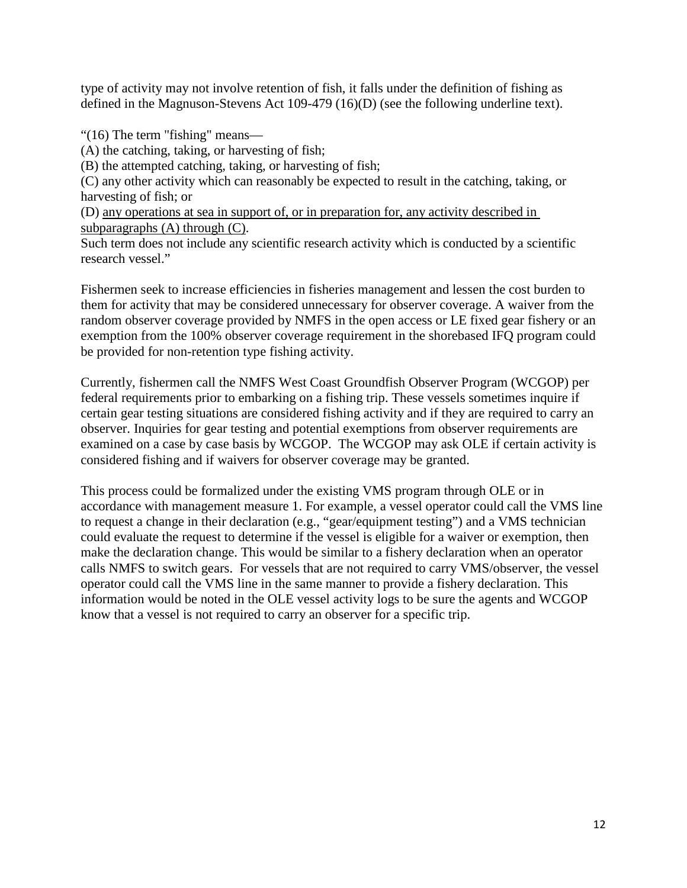type of activity may not involve retention of fish, it falls under the definition of fishing as defined in the Magnuson-Stevens Act 109-479 (16)(D) (see the following underline text).

"(16) The term "fishing" means—

(A) the catching, taking, or harvesting of fish;

(B) the attempted catching, taking, or harvesting of fish;

(C) any other activity which can reasonably be expected to result in the catching, taking, or harvesting of fish; or

(D) any operations at sea in support of, or in preparation for, any activity described in subparagraphs (A) through (C).

Such term does not include any scientific research activity which is conducted by a scientific research vessel."

Fishermen seek to increase efficiencies in fisheries management and lessen the cost burden to them for activity that may be considered unnecessary for observer coverage. A waiver from the random observer coverage provided by NMFS in the open access or LE fixed gear fishery or an exemption from the 100% observer coverage requirement in the shorebased IFQ program could be provided for non-retention type fishing activity.

Currently, fishermen call the NMFS West Coast Groundfish Observer Program (WCGOP) per federal requirements prior to embarking on a fishing trip. These vessels sometimes inquire if certain gear testing situations are considered fishing activity and if they are required to carry an observer. Inquiries for gear testing and potential exemptions from observer requirements are examined on a case by case basis by WCGOP. The WCGOP may ask OLE if certain activity is considered fishing and if waivers for observer coverage may be granted.

This process could be formalized under the existing VMS program through OLE or in accordance with management measure 1. For example, a vessel operator could call the VMS line to request a change in their declaration (e.g., "gear/equipment testing") and a VMS technician could evaluate the request to determine if the vessel is eligible for a waiver or exemption, then make the declaration change. This would be similar to a fishery declaration when an operator calls NMFS to switch gears. For vessels that are not required to carry VMS/observer, the vessel operator could call the VMS line in the same manner to provide a fishery declaration. This information would be noted in the OLE vessel activity logs to be sure the agents and WCGOP know that a vessel is not required to carry an observer for a specific trip.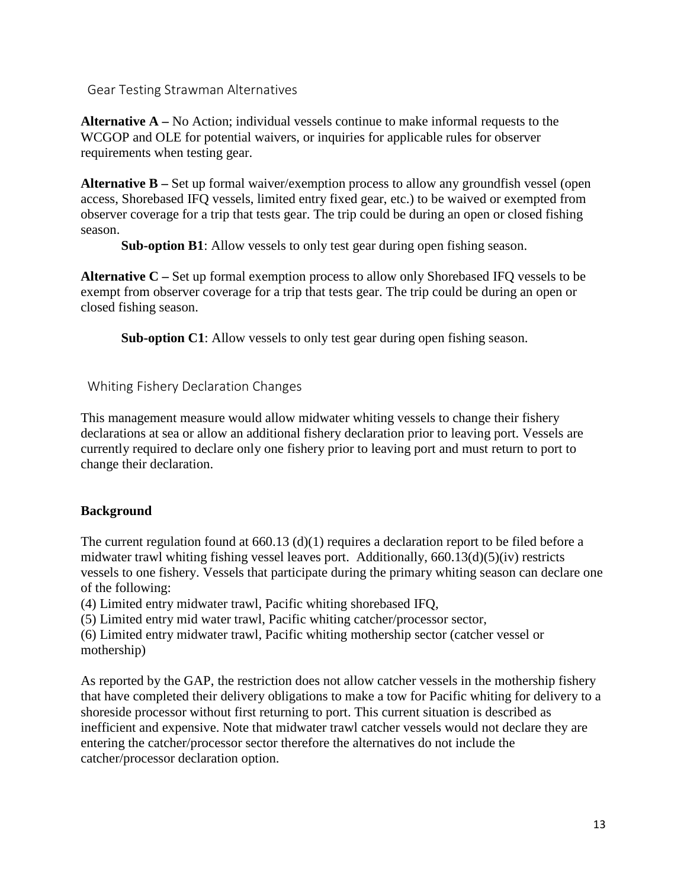Gear Testing Strawman Alternatives

**Alternative A –** No Action; individual vessels continue to make informal requests to the WCGOP and OLE for potential waivers, or inquiries for applicable rules for observer requirements when testing gear.

**Alternative B –** Set up formal waiver/exemption process to allow any groundfish vessel (open access, Shorebased IFQ vessels, limited entry fixed gear, etc.) to be waived or exempted from observer coverage for a trip that tests gear. The trip could be during an open or closed fishing season.

**Sub-option B1**: Allow vessels to only test gear during open fishing season.

**Alternative C –** Set up formal exemption process to allow only Shorebased IFQ vessels to be exempt from observer coverage for a trip that tests gear. The trip could be during an open or closed fishing season.

**Sub-option C1**: Allow vessels to only test gear during open fishing season.

Whiting Fishery Declaration Changes

This management measure would allow midwater whiting vessels to change their fishery declarations at sea or allow an additional fishery declaration prior to leaving port. Vessels are currently required to declare only one fishery prior to leaving port and must return to port to change their declaration.

## **Background**

The current regulation found at 660.13 (d)(1) requires a declaration report to be filed before a midwater trawl whiting fishing vessel leaves port. Additionally, 660.13(d)(5)(iv) restricts vessels to one fishery. Vessels that participate during the primary whiting season can declare one of the following:

(4) Limited entry midwater trawl, Pacific whiting shorebased IFQ,

(5) Limited entry mid water trawl, Pacific whiting catcher/processor sector,

(6) Limited entry midwater trawl, Pacific whiting mothership sector (catcher vessel or mothership)

As reported by the GAP, the restriction does not allow catcher vessels in the mothership fishery that have completed their delivery obligations to make a tow for Pacific whiting for delivery to a shoreside processor without first returning to port. This current situation is described as inefficient and expensive. Note that midwater trawl catcher vessels would not declare they are entering the catcher/processor sector therefore the alternatives do not include the catcher/processor declaration option.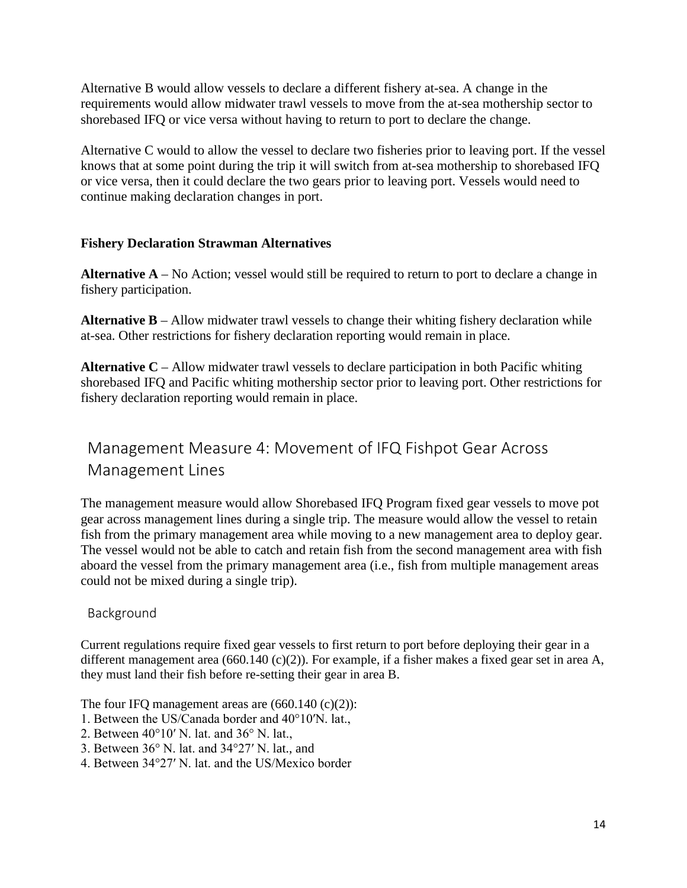Alternative B would allow vessels to declare a different fishery at-sea. A change in the requirements would allow midwater trawl vessels to move from the at-sea mothership sector to shorebased IFQ or vice versa without having to return to port to declare the change.

Alternative C would to allow the vessel to declare two fisheries prior to leaving port. If the vessel knows that at some point during the trip it will switch from at-sea mothership to shorebased IFQ or vice versa, then it could declare the two gears prior to leaving port. Vessels would need to continue making declaration changes in port.

#### **Fishery Declaration Strawman Alternatives**

**Alternative A** – No Action; vessel would still be required to return to port to declare a change in fishery participation.

**Alternative B** – Allow midwater trawl vessels to change their whiting fishery declaration while at-sea. Other restrictions for fishery declaration reporting would remain in place.

**Alternative C** – Allow midwater trawl vessels to declare participation in both Pacific whiting shorebased IFQ and Pacific whiting mothership sector prior to leaving port. Other restrictions for fishery declaration reporting would remain in place.

# <span id="page-13-0"></span>Management Measure 4: Movement of IFQ Fishpot Gear Across Management Lines

The management measure would allow Shorebased IFQ Program fixed gear vessels to move pot gear across management lines during a single trip. The measure would allow the vessel to retain fish from the primary management area while moving to a new management area to deploy gear. The vessel would not be able to catch and retain fish from the second management area with fish aboard the vessel from the primary management area (i.e., fish from multiple management areas could not be mixed during a single trip).

#### Background

Current regulations require fixed gear vessels to first return to port before deploying their gear in a different management area (660.140 (c)(2)). For example, if a fisher makes a fixed gear set in area A, they must land their fish before re-setting their gear in area B.

The four IFO management areas are  $(660.140 \text{ (c)}(2))$ :

- 1. Between the US/Canada border and 40°10′N. lat.,
- 2. Between 40°10′ N. lat. and 36° N. lat.,
- 3. Between 36° N. lat. and 34°27′ N. lat., and
- 4. Between 34°27′ N. lat. and the US/Mexico border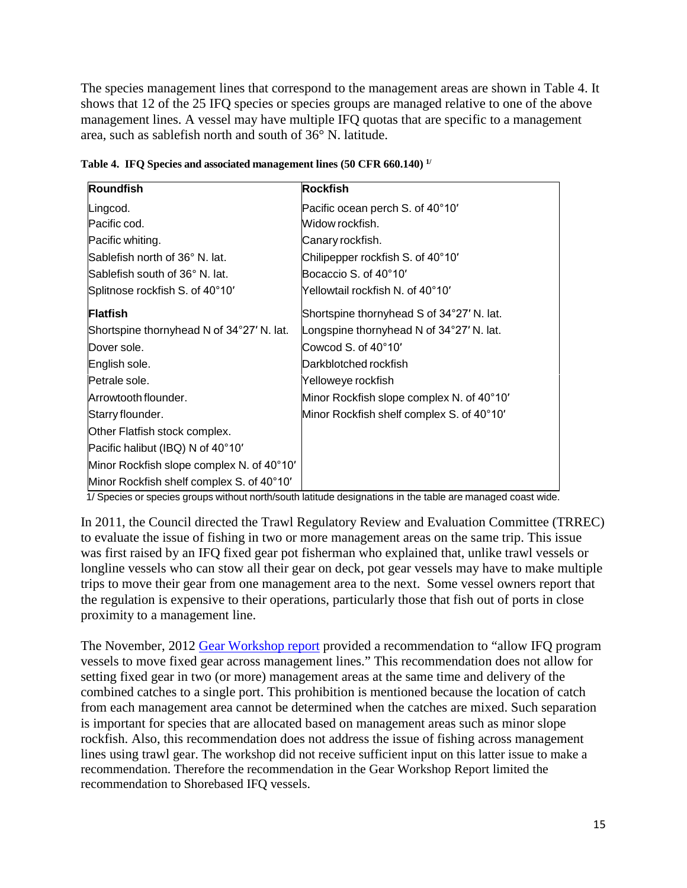The species management lines that correspond to the management areas are shown in [Table 4.](#page-14-0) It shows that 12 of the 25 IFQ species or species groups are managed relative to one of the above management lines. A vessel may have multiple IFQ quotas that are specific to a management area, such as sablefish north and south of 36° N. latitude.

| <b>Roundfish</b>                          | <b>Rockfish</b>                           |
|-------------------------------------------|-------------------------------------------|
| Lingcod.                                  | Pacific ocean perch S. of 40°10'          |
| Pacific cod.                              | Widow rockfish.                           |
| Pacific whiting.                          | Canary rockfish.                          |
| Sablefish north of 36° N. lat.            | Chilipepper rockfish S. of 40°10'         |
| Sablefish south of 36° N. lat.            | Bocaccio S. of 40°10'                     |
| Splitnose rockfish S. of 40°10'           | Yellowtail rockfish N. of 40°10′          |
| <b>Flatfish</b>                           | Shortspine thornyhead S of 34°27' N. lat. |
| Shortspine thornyhead N of 34°27' N. lat. | Longspine thornyhead N of 34°27' N. lat.  |
| Dover sole.                               | Cowcod S. of 40°10'                       |
| English sole.                             | Darkblotched rockfish                     |
| Petrale sole.                             | Yelloweye rockfish                        |
| Arrowtooth flounder.                      | Minor Rockfish slope complex N. of 40°10' |
| Starry flounder.                          | Minor Rockfish shelf complex S. of 40°10' |
| Other Flatfish stock complex.             |                                           |
| Pacific halibut (IBQ) N of 40°10'         |                                           |
| Minor Rockfish slope complex N. of 40°10' |                                           |
| Minor Rockfish shelf complex S. of 40°10' |                                           |

<span id="page-14-0"></span>**Table 4. IFQ Species and associated management lines (50 CFR 660.140) 1/**

1/ Species or species groups without north/south latitude designations in the table are managed coast wide.

In 2011, the Council directed the Trawl Regulatory Review and Evaluation Committee (TRREC) to evaluate the issue of fishing in two or more management areas on the same trip. This issue was first raised by an IFQ fixed gear pot fisherman who explained that, unlike trawl vessels or longline vessels who can stow all their gear on deck, pot gear vessels may have to make multiple trips to move their gear from one management area to the next. Some vessel owners report that the regulation is expensive to their operations, particularly those that fish out of ports in close proximity to a management line.

The November, 2012 [Gear Workshop report](http://www.pcouncil.org/wp-content/uploads/I5a_ATT4_GEAR_WKSHP_NOV2012BB.pdf) provided a recommendation to "allow IFQ program vessels to move fixed gear across management lines." This recommendation does not allow for setting fixed gear in two (or more) management areas at the same time and delivery of the combined catches to a single port. This prohibition is mentioned because the location of catch from each management area cannot be determined when the catches are mixed. Such separation is important for species that are allocated based on management areas such as minor slope rockfish. Also, this recommendation does not address the issue of fishing across management lines using trawl gear. The workshop did not receive sufficient input on this latter issue to make a recommendation. Therefore the recommendation in the Gear Workshop Report limited the recommendation to Shorebased IFQ vessels.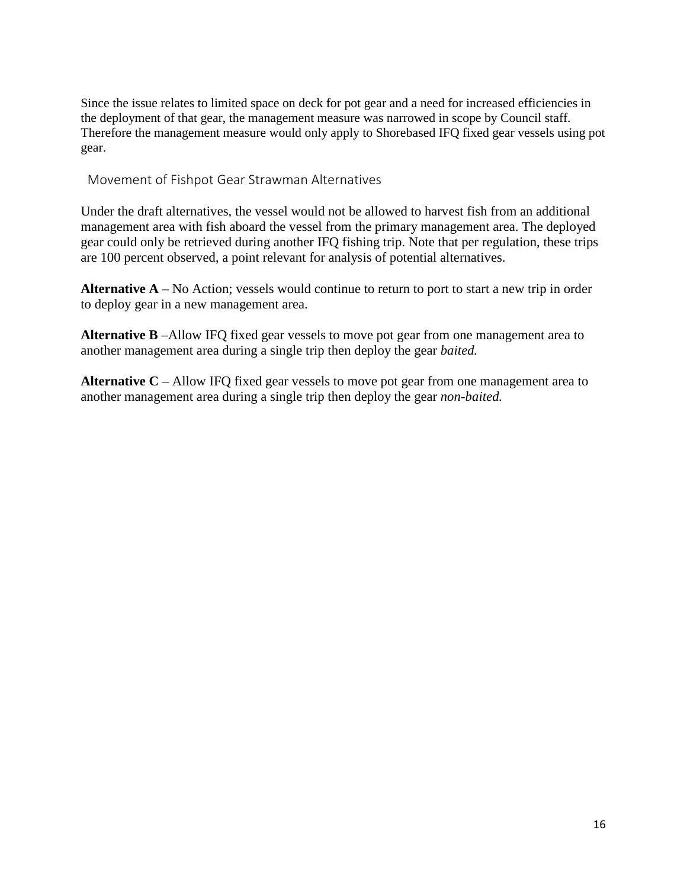Since the issue relates to limited space on deck for pot gear and a need for increased efficiencies in the deployment of that gear, the management measure was narrowed in scope by Council staff. Therefore the management measure would only apply to Shorebased IFQ fixed gear vessels using pot gear.

Movement of Fishpot Gear Strawman Alternatives

Under the draft alternatives, the vessel would not be allowed to harvest fish from an additional management area with fish aboard the vessel from the primary management area. The deployed gear could only be retrieved during another IFQ fishing trip. Note that per regulation, these trips are 100 percent observed, a point relevant for analysis of potential alternatives.

**Alternative A** – No Action; vessels would continue to return to port to start a new trip in order to deploy gear in a new management area.

**Alternative B** –Allow IFQ fixed gear vessels to move pot gear from one management area to another management area during a single trip then deploy the gear *baited.*

**Alternative C** – Allow IFQ fixed gear vessels to move pot gear from one management area to another management area during a single trip then deploy the gear *non-baited.*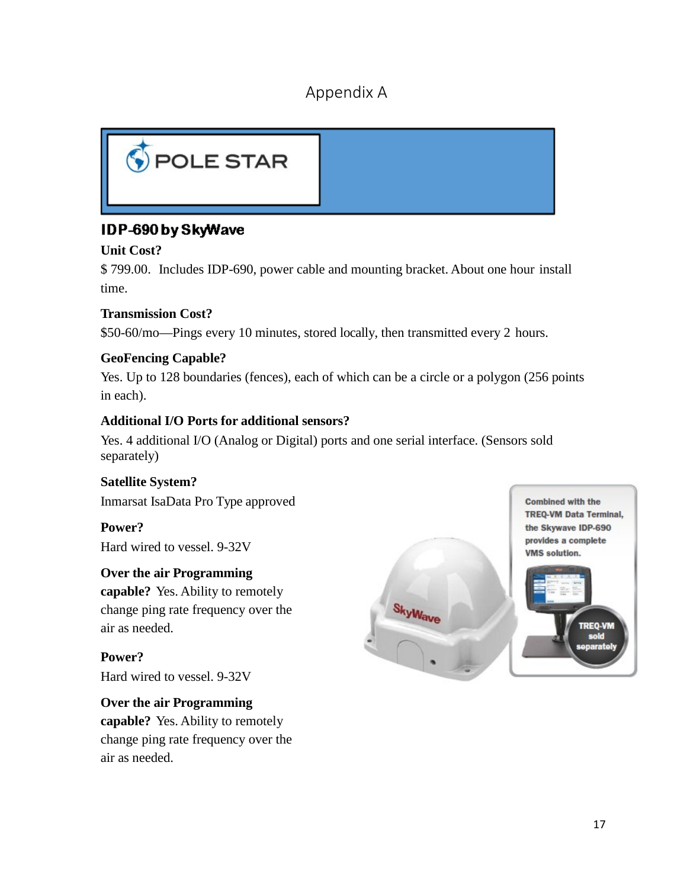# Appendix A

<span id="page-16-0"></span>

# IDP-690 by SkyWave

## **Unit Cost?**

\$ 799.00. Includes IDP-690, power cable and mounting bracket. About one hour install time.

## **Transmission Cost?**

\$50-60/mo—Pings every 10 minutes, stored locally, then transmitted every 2 hours.

# **GeoFencing Capable?**

Yes. Up to 128 boundaries (fences), each of which can be a circle or a polygon (256 points in each).

#### **Additional I/O Ports for additional sensors?**

Yes. 4 additional I/O (Analog or Digital) ports and one serial interface. (Sensors sold separately)

# **Satellite System?**

Inmarsat IsaData Pro Type approved

#### **Power?** Hard wired to vessel. 9-32V

## **Over the air Programming**

**capable?** Yes. Ability to remotely change ping rate frequency over the air as needed.

**Power?** Hard wired to vessel. 9-32V

# **Over the air Programming**

**capable?** Yes. Ability to remotely change ping rate frequency over the air as needed.